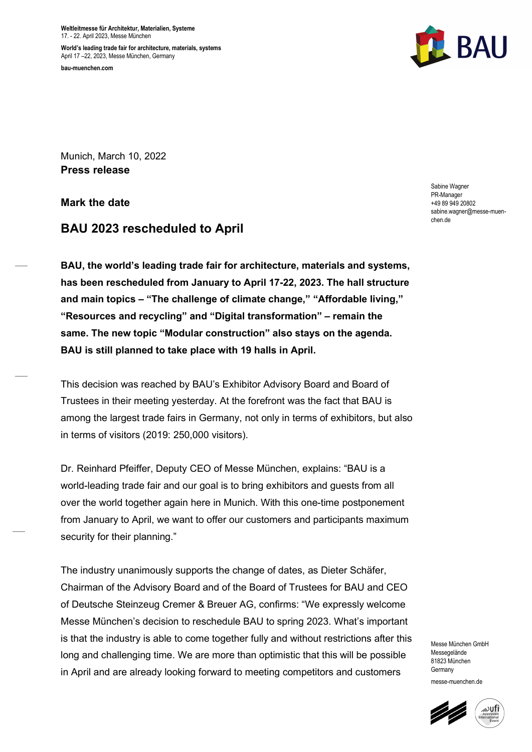Weltleitmesse für Architektur, Materialien, Systeme 17. - 22. April 2023, Messe München

World's leading trade fair for architecture, materials, systems April 17 –22, 2023, Messe München, Germany bau-muenchen.com



Munich, March 10, 2022 Press release

Mark the date

# BAU 2023 rescheduled to April

BAU, the world's leading trade fair for architecture, materials and systems, has been rescheduled from January to April 17-22, 2023. The hall structure and main topics – "The challenge of climate change," "Affordable living," "Resources and recycling" and "Digital transformation" – remain the same. The new topic "Modular construction" also stays on the agenda. BAU is still planned to take place with 19 halls in April.

This decision was reached by BAU's Exhibitor Advisory Board and Board of Trustees in their meeting yesterday. At the forefront was the fact that BAU is among the largest trade fairs in Germany, not only in terms of exhibitors, but also in terms of visitors (2019: 250,000 visitors).

Dr. Reinhard Pfeiffer, Deputy CEO of Messe München, explains: "BAU is a world-leading trade fair and our goal is to bring exhibitors and guests from all over the world together again here in Munich. With this one-time postponement from January to April, we want to offer our customers and participants maximum security for their planning."

The industry unanimously supports the change of dates, as Dieter Schäfer, Chairman of the Advisory Board and of the Board of Trustees for BAU and CEO of Deutsche Steinzeug Cremer & Breuer AG, confirms: "We expressly welcome Messe München's decision to reschedule BAU to spring 2023. What's important is that the industry is able to come together fully and without restrictions after this long and challenging time. We are more than optimistic that this will be possible in April and are already looking forward to meeting competitors and customers

Sabine Wagner PR-Manager +49 89 949 20802 sabine.wagner@messe-muenchen.de

Messe München GmbH Messenelände 81823 München **Germany** messe-muenchen.de